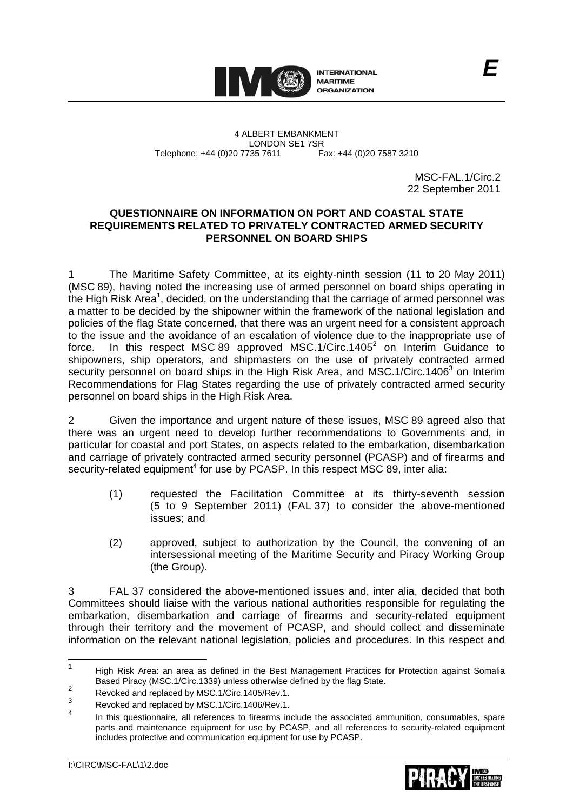

4 ALBERT EMBANKMENT LONDON SE1 7SR Telephone: +44 (0)20 7735 7611 Fax: +44 (0)20 7587 3210

MSC-FAL.1/Circ.2 22 September 2011

### **QUESTIONNAIRE ON INFORMATION ON PORT AND COASTAL STATE REQUIREMENTS RELATED TO PRIVATELY CONTRACTED ARMED SECURITY PERSONNEL ON BOARD SHIPS**

1 The Maritime Safety Committee, at its eighty-ninth session (11 to 20 May 2011) (MSC 89), having noted the increasing use of armed personnel on board ships operating in the High Risk Area<sup>1</sup>, decided, on the understanding that the carriage of armed personnel was a matter to be decided by the shipowner within the framework of the national legislation and policies of the flag State concerned, that there was an urgent need for a consistent approach to the issue and the avoidance of an escalation of violence due to the inappropriate use of force. In this respect MSC 89 approved MSC.1/Circ.1405<sup>2</sup> on Interim Guidance to shipowners, ship operators, and shipmasters on the use of privately contracted armed security personnel on board ships in the High Risk Area, and MSC.1/Circ.1406<sup>3</sup> on Interim Recommendations for Flag States regarding the use of privately contracted armed security personnel on board ships in the High Risk Area.

2 Given the importance and urgent nature of these issues, MSC 89 agreed also that there was an urgent need to develop further recommendations to Governments and, in particular for coastal and port States, on aspects related to the embarkation, disembarkation and carriage of privately contracted armed security personnel (PCASP) and of firearms and security-related equipment<sup>4</sup> for use by PCASP. In this respect MSC 89, inter alia:

- (1) requested the Facilitation Committee at its thirty-seventh session (5 to 9 September 2011) (FAL 37) to consider the above-mentioned issues; and
- (2) approved, subject to authorization by the Council, the convening of an intersessional meeting of the Maritime Security and Piracy Working Group (the Group).

3 FAL 37 considered the above-mentioned issues and, inter alia, decided that both Committees should liaise with the various national authorities responsible for regulating the embarkation, disembarkation and carriage of firearms and security-related equipment through their territory and the movement of PCASP, and should collect and disseminate information on the relevant national legislation, policies and procedures. In this respect and



 $\frac{1}{1}$  High Risk Area: an area as defined in the Best Management Practices for Protection against Somalia Based Piracy (MSC.1/Circ.1339) unless otherwise defined by the flag State.  $\overline{2}$ 

Revoked and replaced by MSC.1/Circ.1405/Rev.1.

<sup>3</sup> Revoked and replaced by MSC.1/Circ.1406/Rev.1.

<sup>4</sup> In this questionnaire, all references to firearms include the associated ammunition, consumables, spare parts and maintenance equipment for use by PCASP, and all references to security-related equipment includes protective and communication equipment for use by PCASP.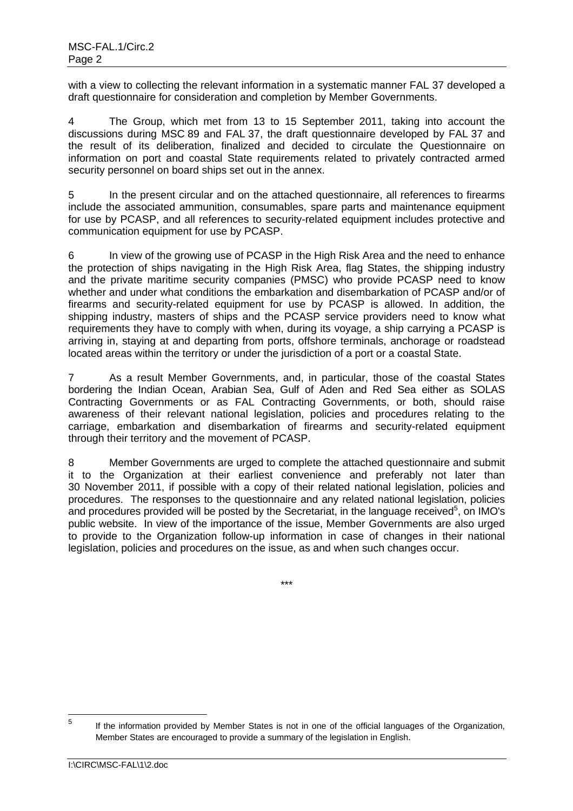with a view to collecting the relevant information in a systematic manner FAL 37 developed a draft questionnaire for consideration and completion by Member Governments.

4 The Group, which met from 13 to 15 September 2011, taking into account the discussions during MSC 89 and FAL 37, the draft questionnaire developed by FAL 37 and the result of its deliberation, finalized and decided to circulate the Questionnaire on information on port and coastal State requirements related to privately contracted armed security personnel on board ships set out in the annex.

5 In the present circular and on the attached questionnaire, all references to firearms include the associated ammunition, consumables, spare parts and maintenance equipment for use by PCASP, and all references to security-related equipment includes protective and communication equipment for use by PCASP.

6 In view of the growing use of PCASP in the High Risk Area and the need to enhance the protection of ships navigating in the High Risk Area, flag States, the shipping industry and the private maritime security companies (PMSC) who provide PCASP need to know whether and under what conditions the embarkation and disembarkation of PCASP and/or of firearms and security-related equipment for use by PCASP is allowed. In addition, the shipping industry, masters of ships and the PCASP service providers need to know what requirements they have to comply with when, during its voyage, a ship carrying a PCASP is arriving in, staying at and departing from ports, offshore terminals, anchorage or roadstead located areas within the territory or under the jurisdiction of a port or a coastal State.

7 As a result Member Governments, and, in particular, those of the coastal States bordering the Indian Ocean, Arabian Sea, Gulf of Aden and Red Sea either as SOLAS Contracting Governments or as FAL Contracting Governments, or both, should raise awareness of their relevant national legislation, policies and procedures relating to the carriage, embarkation and disembarkation of firearms and security-related equipment through their territory and the movement of PCASP.

8 Member Governments are urged to complete the attached questionnaire and submit it to the Organization at their earliest convenience and preferably not later than 30 November 2011, if possible with a copy of their related national legislation, policies and procedures. The responses to the questionnaire and any related national legislation, policies and procedures provided will be posted by the Secretariat, in the language received<sup>5</sup>, on IMO's public website. In view of the importance of the issue, Member Governments are also urged to provide to the Organization follow-up information in case of changes in their national legislation, policies and procedures on the issue, as and when such changes occur.

\*\*\*

<sup>—&</sup>lt;br>5 If the information provided by Member States is not in one of the official languages of the Organization, Member States are encouraged to provide a summary of the legislation in English.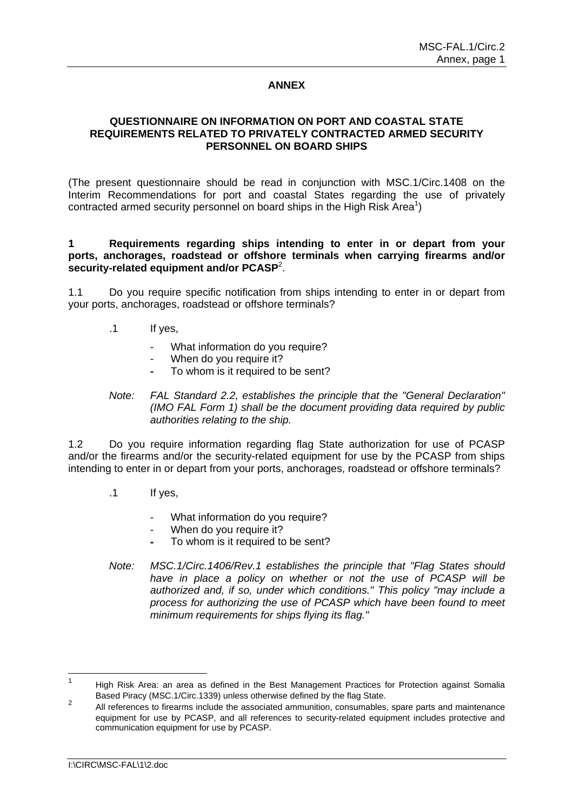# **ANNEX**

#### **QUESTIONNAIRE ON INFORMATION ON PORT AND COASTAL STATE REQUIREMENTS RELATED TO PRIVATELY CONTRACTED ARMED SECURITY PERSONNEL ON BOARD SHIPS**

(The present questionnaire should be read in conjunction with MSC.1/Circ.1408 on the Interim Recommendations for port and coastal States regarding the use of privately contracted armed security personnel on board ships in the High Risk Area<sup>1</sup>)

#### **1 Requirements regarding ships intending to enter in or depart from your ports, anchorages, roadstead or offshore terminals when carrying firearms and/or security-related equipment and/or PCASP**<sup>2</sup> .

1.1 Do you require specific notification from ships intending to enter in or depart from your ports, anchorages, roadstead or offshore terminals?

- .1 If yes,
	- What information do you require?
	- When do you require it?
	- To whom is it required to be sent?
- *Note: FAL Standard 2.2, establishes the principle that the "General Declaration" (IMO FAL Form 1) shall be the document providing data required by public authorities relating to the ship.*

1.2 Do you require information regarding flag State authorization for use of PCASP and/or the firearms and/or the security-related equipment for use by the PCASP from ships intending to enter in or depart from your ports, anchorages, roadstead or offshore terminals?

- .1 If yes,
	- What information do you require?
	- When do you require it?
	- To whom is it required to be sent?
- *Note: MSC.1/Circ.1406/Rev.1 establishes the principle that "Flag States should have in place a policy on whether or not the use of PCASP will be authorized and, if so, under which conditions." This policy "may include a process for authorizing the use of PCASP which have been found to meet minimum requirements for ships flying its flag."*

 $\frac{1}{1}$  High Risk Area: an area as defined in the Best Management Practices for Protection against Somalia Based Piracy (MSC.1/Circ.1339) unless otherwise defined by the flag State.

<sup>2</sup> All references to firearms include the associated ammunition, consumables, spare parts and maintenance equipment for use by PCASP, and all references to security-related equipment includes protective and communication equipment for use by PCASP.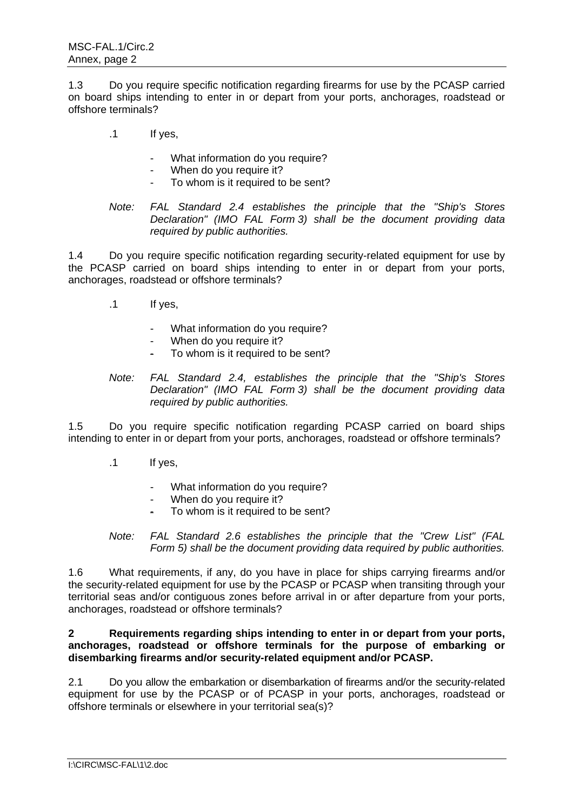1.3 Do you require specific notification regarding firearms for use by the PCASP carried on board ships intending to enter in or depart from your ports, anchorages, roadstead or offshore terminals?

- .1 If yes,
	- What information do you require?
	- When do you require it?
	- To whom is it required to be sent?
- *Note: FAL Standard 2.4 establishes the principle that the "Ship's Stores Declaration" (IMO FAL Form 3) shall be the document providing data required by public authorities.*

1.4 Do you require specific notification regarding security-related equipment for use by the PCASP carried on board ships intending to enter in or depart from your ports, anchorages, roadstead or offshore terminals?

- .1 If yes,
	- What information do you require?
	- When do you require it?
	- To whom is it required to be sent?
- *Note: FAL Standard 2.4, establishes the principle that the "Ship's Stores Declaration" (IMO FAL Form 3) shall be the document providing data required by public authorities.*

1.5 Do you require specific notification regarding PCASP carried on board ships intending to enter in or depart from your ports, anchorages, roadstead or offshore terminals?

- .1 If yes,
	- What information do you require?
	- When do you require it?
	- To whom is it required to be sent?

*Note: FAL Standard 2.6 establishes the principle that the "Crew List" (FAL Form 5) shall be the document providing data required by public authorities.* 

1.6 What requirements, if any, do you have in place for ships carrying firearms and/or the security-related equipment for use by the PCASP or PCASP when transiting through your territorial seas and/or contiguous zones before arrival in or after departure from your ports, anchorages, roadstead or offshore terminals?

## **2 Requirements regarding ships intending to enter in or depart from your ports, anchorages, roadstead or offshore terminals for the purpose of embarking or disembarking firearms and/or security-related equipment and/or PCASP.**

2.1 Do you allow the embarkation or disembarkation of firearms and/or the security-related equipment for use by the PCASP or of PCASP in your ports, anchorages, roadstead or offshore terminals or elsewhere in your territorial sea(s)?